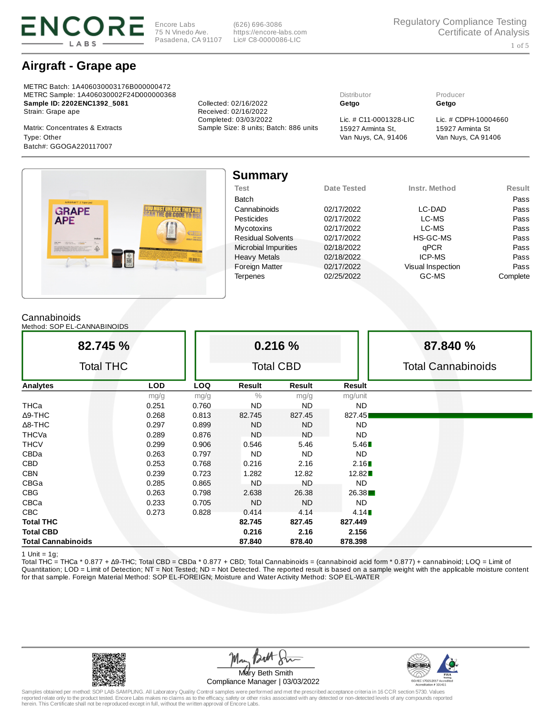

Encore Labs 75 N Vinedo Ave. Pasadena, CA 91107

(626) 696-3086 https://encore-labs.com Lic# C8-0000086-LIC

# Airgraft - Grape ape

METRC Batch: 1A406030003176B000000472 METRC Sample: 1A406030002F24D000000368 Distributor Producer Sample ID: 2202ENC1392\_5081 Collected: 02/16/2022 Getgo Getgo Strain: Grape ape **Received: 02/16/2022** 

Van Nuys, CA, 91406 Type: Other Van Nuys, CA 91406 Batch#: GGOGA220117007



15927 Arminta St



| <b>Summary</b>              |             |                   |               |
|-----------------------------|-------------|-------------------|---------------|
| <b>Test</b>                 | Date Tested | Instr. Method     | <b>Result</b> |
| Batch                       |             |                   | Pass          |
| Cannabinoids                | 02/17/2022  | LC-DAD            | Pass          |
| Pesticides                  | 02/17/2022  | LC-MS             | Pass          |
| Mycotoxins                  | 02/17/2022  | LC-MS             | Pass          |
| <b>Residual Solvents</b>    | 02/17/2022  | HS-GC-MS          | Pass          |
| <b>Microbial Impurities</b> | 02/18/2022  | qPCR              | Pass          |
| <b>Heavy Metals</b>         | 02/18/2022  | ICP-MS            | Pass          |
| <b>Foreign Matter</b>       | 02/17/2022  | Visual Inspection | Pass          |
| <b>Terpenes</b>             | 02/25/2022  | GC-MS             | Complete      |

## Cannabinoids

Method: SOP EL-CANNABINOIDS

| 82.745 %                  |            |            |                  | 0.216 %       |               | 87.840 %                  |
|---------------------------|------------|------------|------------------|---------------|---------------|---------------------------|
| <b>Total THC</b>          |            |            | <b>Total CBD</b> |               |               | <b>Total Cannabinoids</b> |
| <b>Analytes</b>           | <b>LOD</b> | <b>LOQ</b> | Result           | <b>Result</b> | <b>Result</b> |                           |
|                           | mg/g       | mg/g       | $\frac{0}{0}$    | mg/g          | mg/unit       |                           |
| THCa                      | 0.251      | 0.760      | <b>ND</b>        | <b>ND</b>     | ND.           |                           |
| $\Delta$ 9-THC            | 0.268      | 0.813      | 82.745           | 827.45        | 827.45        |                           |
| $\Delta$ 8-THC            | 0.297      | 0.899      | <b>ND</b>        | <b>ND</b>     | <b>ND</b>     |                           |
| THCVa                     | 0.289      | 0.876      | <b>ND</b>        | <b>ND</b>     | <b>ND</b>     |                           |
| <b>THCV</b>               | 0.299      | 0.906      | 0.546            | 5.46          | 5.46          |                           |
| CBDa                      | 0.263      | 0.797      | ND               | <b>ND</b>     | ND.           |                           |
| <b>CBD</b>                | 0.253      | 0.768      | 0.216            | 2.16          | 2.16          |                           |
| <b>CBN</b>                | 0.239      | 0.723      | 1.282            | 12.82         | 12.82         |                           |
| CBGa                      | 0.285      | 0.865      | <b>ND</b>        | <b>ND</b>     | <b>ND</b>     |                           |
| <b>CBG</b>                | 0.263      | 0.798      | 2.638            | 26.38         | 26.38         |                           |
| CBCa                      | 0.233      | 0.705      | ND               | <b>ND</b>     | <b>ND</b>     |                           |
| CBC                       | 0.273      | 0.828      | 0.414            | 4.14          | 4.14          |                           |
| <b>Total THC</b>          |            |            | 82.745           | 827.45        | 827.449       |                           |
| <b>Total CBD</b>          |            |            | 0.216            | 2.16          | 2.156         |                           |
| <b>Total Cannabinoids</b> |            |            | 87.840           | 878.40        | 878.398       |                           |

1 Unit =  $1g$ ;

Total THC = THCa \* 0.877 + ∆9-THC; Total CBD = CBDa \* 0.877 + CBD; Total Cannabinoids = (cannabinoid acid form \* 0.877) + cannabinoid; LOQ = Limit of Quantitation; LOD = Limit of Detection; NT = Not Tested; ND = Not Detected. The reported result is based on a sample weight with the applicable moisture content for that sample. Foreign Material Method: SOP EL-FOREIGN; Moisture and Water Activity Method: SOP EL-WATER



Mary Beth Smith Compliance Manager | 03/03/2022

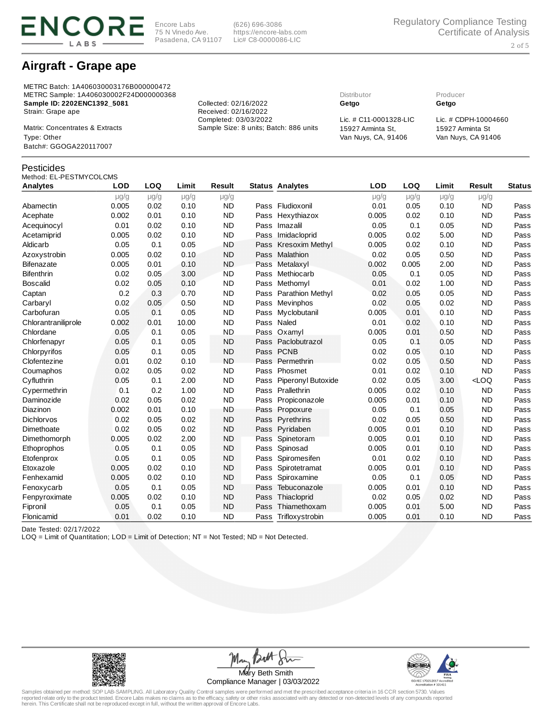

(626) 696-3086 https://encore-labs.com Lic# C8-0000086-LIC

## Airgraft - Grape ape

METRC Batch: 1A406030003176B000000472 METRC Sample: 1A406030002F24D000000368 Distributor Producer Sample ID: 2202ENC1392\_5081 Collected: 02/16/2022 Getgo Getgo Strain: Grape ape **Received: 02/16/2022**<br>Completed: 03/03/2022

Matrix: Concentrates & Extracts Sample Size: 8 units; Batch: 886 units 15927 Arminta St, Van Nuys, CA, 91406 Type: Other Van Nuys, CA 91406 Batch#: GGOGA220117007

### Pesticides

### Method: EL-PESTMYCOLCMS

| Analytes            | <b>LOD</b> | LOQ       | Limit     | <b>Result</b> |      | <b>Status Analytes</b> | <b>LOD</b> | LOQ       | Limit     | <b>Result</b> | <b>Status</b> |
|---------------------|------------|-----------|-----------|---------------|------|------------------------|------------|-----------|-----------|---------------|---------------|
|                     | $\mu$ g/g  | $\mu$ g/g | $\mu$ g/g | $\mu$ g/g     |      |                        | $\mu$ g/g  | $\mu$ g/g | $\mu$ g/g | $\mu$ g/g     |               |
| Abamectin           | 0.005      | 0.02      | 0.10      | <b>ND</b>     |      | Pass Fludioxonil       | 0.01       | 0.05      | 0.10      | <b>ND</b>     | Pass          |
| Acephate            | 0.002      | 0.01      | 0.10      | <b>ND</b>     |      | Pass Hexythiazox       | 0.005      | 0.02      | 0.10      | <b>ND</b>     | Pass          |
| Acequinocyl         | 0.01       | 0.02      | 0.10      | <b>ND</b>     | Pass | Imazalil               | 0.05       | 0.1       | 0.05      | <b>ND</b>     | Pass          |
| Acetamiprid         | 0.005      | 0.02      | 0.10      | <b>ND</b>     | Pass | Imidacloprid           | 0.005      | 0.02      | 5.00      | <b>ND</b>     | Pass          |
| Aldicarb            | 0.05       | 0.1       | 0.05      | <b>ND</b>     | Pass | Kresoxim Methyl        | 0.005      | 0.02      | 0.10      | <b>ND</b>     | Pass          |
| Azoxystrobin        | 0.005      | 0.02      | 0.10      | <b>ND</b>     | Pass | Malathion              | 0.02       | 0.05      | 0.50      | <b>ND</b>     | Pass          |
| Bifenazate          | 0.005      | 0.01      | 0.10      | <b>ND</b>     | Pass | Metalaxyl              | 0.002      | 0.005     | 2.00      | <b>ND</b>     | Pass          |
| Bifenthrin          | 0.02       | 0.05      | 3.00      | <b>ND</b>     | Pass | Methiocarb             | 0.05       | 0.1       | 0.05      | <b>ND</b>     | Pass          |
| Boscalid            | 0.02       | 0.05      | 0.10      | <b>ND</b>     | Pass | Methomyl               | 0.01       | 0.02      | 1.00      | <b>ND</b>     | Pass          |
| Captan              | 0.2        | 0.3       | 0.70      | <b>ND</b>     | Pass | Parathion Methyl       | 0.02       | 0.05      | 0.05      | <b>ND</b>     | Pass          |
| Carbaryl            | 0.02       | 0.05      | 0.50      | <b>ND</b>     | Pass | Mevinphos              | 0.02       | 0.05      | 0.02      | <b>ND</b>     | Pass          |
| Carbofuran          | 0.05       | 0.1       | 0.05      | <b>ND</b>     | Pass | Myclobutanil           | 0.005      | 0.01      | 0.10      | <b>ND</b>     | Pass          |
| Chlorantraniliprole | 0.002      | 0.01      | 10.00     | <b>ND</b>     | Pass | Naled                  | 0.01       | 0.02      | 0.10      | <b>ND</b>     | Pass          |
| Chlordane           | 0.05       | 0.1       | 0.05      | <b>ND</b>     |      | Pass Oxamyl            | 0.005      | 0.01      | 0.50      | <b>ND</b>     | Pass          |
| Chlorfenapyr        | 0.05       | 0.1       | 0.05      | <b>ND</b>     |      | Pass Paclobutrazol     | 0.05       | 0.1       | 0.05      | <b>ND</b>     | Pass          |
| Chlorpyrifos        | 0.05       | 0.1       | 0.05      | <b>ND</b>     |      | Pass PCNB              | 0.02       | 0.05      | 0.10      | <b>ND</b>     | Pass          |
| Clofentezine        | 0.01       | 0.02      | 0.10      | <b>ND</b>     | Pass | Permethrin             | 0.02       | 0.05      | 0.50      | <b>ND</b>     | Pass          |
| Coumaphos           | 0.02       | 0.05      | 0.02      | <b>ND</b>     | Pass | Phosmet                | 0.01       | 0.02      | 0.10      | <b>ND</b>     | Pass          |
| Cyfluthrin          | 0.05       | 0.1       | 2.00      | <b>ND</b>     | Pass | Piperonyl Butoxide     | 0.02       | 0.05      | 3.00      | $<$ LOQ       | Pass          |
| Cypermethrin        | 0.1        | 0.2       | 1.00      | <b>ND</b>     |      | Pass Prallethrin       | 0.005      | 0.02      | 0.10      | <b>ND</b>     | Pass          |
| Daminozide          | 0.02       | 0.05      | 0.02      | <b>ND</b>     | Pass | Propiconazole          | 0.005      | 0.01      | 0.10      | <b>ND</b>     | Pass          |
| Diazinon            | 0.002      | 0.01      | 0.10      | <b>ND</b>     | Pass | Propoxure              | 0.05       | 0.1       | 0.05      | <b>ND</b>     | Pass          |
| Dichlorvos          | 0.02       | 0.05      | 0.02      | <b>ND</b>     |      | Pass Pyrethrins        | 0.02       | 0.05      | 0.50      | <b>ND</b>     | Pass          |
| Dimethoate          | 0.02       | 0.05      | 0.02      | <b>ND</b>     | Pass | Pyridaben              | 0.005      | 0.01      | 0.10      | <b>ND</b>     | Pass          |
| Dimethomorph        | 0.005      | 0.02      | 2.00      | <b>ND</b>     | Pass | Spinetoram             | 0.005      | 0.01      | 0.10      | <b>ND</b>     | Pass          |
| Ethoprophos         | 0.05       | 0.1       | 0.05      | <b>ND</b>     | Pass | Spinosad               | 0.005      | 0.01      | 0.10      | <b>ND</b>     | Pass          |
| Etofenprox          | 0.05       | 0.1       | 0.05      | <b>ND</b>     | Pass | Spiromesifen           | 0.01       | 0.02      | 0.10      | <b>ND</b>     | Pass          |
| Etoxazole           | 0.005      | 0.02      | 0.10      | <b>ND</b>     | Pass | Spirotetramat          | 0.005      | 0.01      | 0.10      | <b>ND</b>     | Pass          |
| Fenhexamid          | 0.005      | 0.02      | 0.10      | <b>ND</b>     | Pass | Spiroxamine            | 0.05       | 0.1       | 0.05      | <b>ND</b>     | Pass          |
| Fenoxycarb          | 0.05       | 0.1       | 0.05      | <b>ND</b>     | Pass | Tebuconazole           | 0.005      | 0.01      | 0.10      | <b>ND</b>     | Pass          |
| Fenpyroximate       | 0.005      | 0.02      | 0.10      | <b>ND</b>     | Pass | Thiacloprid            | 0.02       | 0.05      | 0.02      | <b>ND</b>     | Pass          |
| Fipronil            | 0.05       | 0.1       | 0.05      | <b>ND</b>     | Pass | Thiamethoxam           | 0.005      | 0.01      | 5.00      | <b>ND</b>     | Pass          |
| Flonicamid          | 0.01       | 0.02      | 0.10      | <b>ND</b>     |      | Pass Trifloxystrobin   | 0.005      | 0.01      | 0.10      | <b>ND</b>     | Pass          |

Date Tested: 02/17/2022

LOQ = Limit of Quantitation; LOD = Limit of Detection; NT = Not Tested; ND = Not Detected.



Ma Mary Beth Smith Compliance Manager | 03/03/2022



Samples obtained per method: SOP LAB-SAMPLING. All Laboratory Quality Control samples were performed and met the prescribed acceptance criteria in 16 CCR section 5730. Values<br>reported relate only to the product tested. Enc

Lic. # C11-0001328-LIC Lic. # CDPH-10004660 15927 Arminta St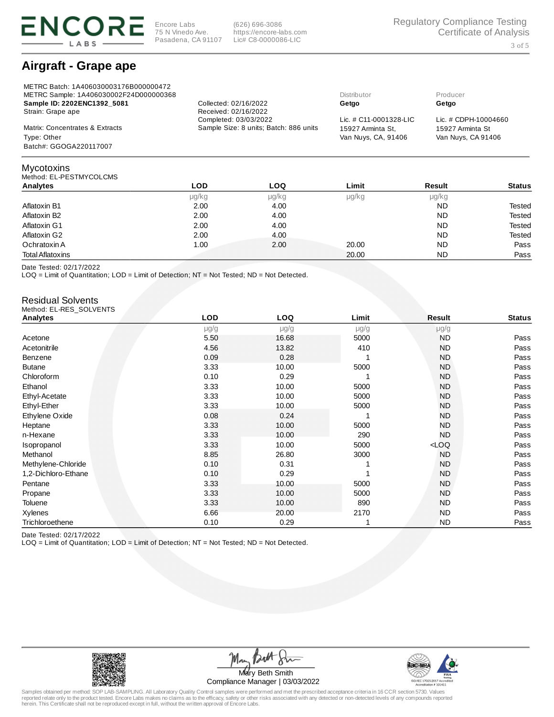

METRC Batch: 1A406030003176B000000472

Encore Labs 75 N Vinedo Ave. Pasadena, CA 91107

(626) 696-3086 https://encore-labs.com Lic# C8-0000086-LIC

## Airgraft - Grape ape

| METRC Sample: 1A406030002F24D000000368 |                                        | Distributor               | Producer             |
|----------------------------------------|----------------------------------------|---------------------------|----------------------|
| Sample ID: 2202ENC1392 5081            | Collected: 02/16/2022                  | Getgo                     | Getgo                |
| Strain: Grape ape                      | Received: 02/16/2022                   |                           |                      |
|                                        | Completed: 03/03/2022                  | Lic. $\#$ C11-0001328-LIC | Lic. # CDPH-10004660 |
| Matrix: Concentrates & Extracts        | Sample Size: 8 units; Batch: 886 units | 15927 Arminta St.         | 15927 Arminta St     |
| Type: Other                            |                                        | Van Nuys, CA, 91406       | Van Nuys, CA 91406   |
| Batch#: GGOGA220117007                 |                                        |                           |                      |
|                                        |                                        |                           |                      |

### Method: EL-PESTMYCOLCMS Analytes LOD LOQ Limit Result Status μg/kg μg/kg μg/kg μg/kg Aflatoxin B1 2.00 2.00 4.00 Aflatoxin B1 2.00 Aflatoxin B1 2.00 Aflatoxin B1 2.00 Aflatoxin B1 2.00 Aflatoxin B1 Aflatoxin B2 2.00 2.00 4.00 Aflatoxin B2 2.00 2.00 Aflatoxin B2 Aflatoxin G1 **2.00** 2.00 4.00 Aflatoxin G1 **2.00** Aflatoxin G1 Aflatoxin G2 2.00 4.00 ND Tested Ochratoxin A 1.00 2.00 20.00 ND Pass Total Aflatoxins 20.00 ND Pass

Date Tested: 02/17/2022

Mycotoxins

LOQ = Limit of Quantitation; LOD = Limit of Detection; NT = Not Tested; ND = Not Detected.

### Residual Solvents Method: EL-RES\_SOLVENTS

| <b>Analytes</b>     | <b>LOD</b> | <b>LOQ</b> | Limit     | Result    | <b>Status</b> |
|---------------------|------------|------------|-----------|-----------|---------------|
|                     | $\mu$ g/g  | $\mu$ g/g  | $\mu$ g/g | $\mu$ g/g |               |
| Acetone             | 5.50       | 16.68      | 5000      | <b>ND</b> | Pass          |
| Acetonitrile        | 4.56       | 13.82      | 410       | <b>ND</b> | Pass          |
| Benzene             | 0.09       | 0.28       | 1         | <b>ND</b> | Pass          |
| <b>Butane</b>       | 3.33       | 10.00      | 5000      | <b>ND</b> | Pass          |
| Chloroform          | 0.10       | 0.29       | 1         | <b>ND</b> | Pass          |
| Ethanol             | 3.33       | 10.00      | 5000      | <b>ND</b> | Pass          |
| Ethyl-Acetate       | 3.33       | 10.00      | 5000      | <b>ND</b> | Pass          |
| Ethyl-Ether         | 3.33       | 10.00      | 5000      | <b>ND</b> | Pass          |
| Ethylene Oxide      | 0.08       | 0.24       | 1         | <b>ND</b> | Pass          |
| Heptane             | 3.33       | 10.00      | 5000      | <b>ND</b> | Pass          |
| n-Hexane            | 3.33       | 10.00      | 290       | <b>ND</b> | Pass          |
| Isopropanol         | 3.33       | 10.00      | 5000      | $<$ LOQ   | Pass          |
| Methanol            | 8.85       | 26.80      | 3000      | <b>ND</b> | Pass          |
| Methylene-Chloride  | 0.10       | 0.31       |           | <b>ND</b> | Pass          |
| 1,2-Dichloro-Ethane | 0.10       | 0.29       |           | <b>ND</b> | Pass          |
| Pentane             | 3.33       | 10.00      | 5000      | <b>ND</b> | Pass          |
| Propane             | 3.33       | 10.00      | 5000      | <b>ND</b> | Pass          |
| Toluene             | 3.33       | 10.00      | 890       | <b>ND</b> | Pass          |
| Xylenes             | 6.66       | 20.00      | 2170      | <b>ND</b> | Pass          |
| Trichloroethene     | 0.10       | 0.29       | 1         | <b>ND</b> | Pass          |

Date Tested: 02/17/2022

LOQ = Limit of Quantitation; LOD = Limit of Detection; NT = Not Tested; ND = Not Detected.



Ma Mary Beth Smith Compliance Manager | 03/03/2022

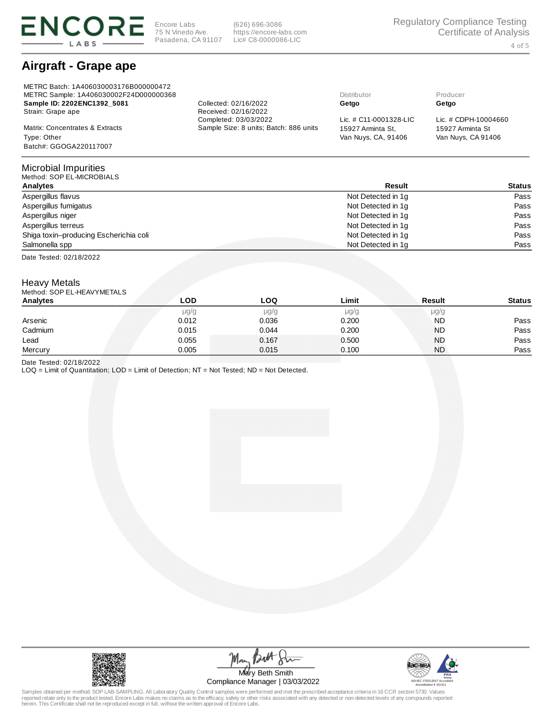

(626) 696-3086 https://encore-labs.com Lic# C8-0000086-LIC

# Airgraft - Grape ape

| METRC Batch: 1A406030003176B000000472<br>METRC Sample: 1A406030002F24D000000368 |                                        | Distributor               | Producer             |
|---------------------------------------------------------------------------------|----------------------------------------|---------------------------|----------------------|
| Sample ID: 2202ENC1392 5081                                                     | Collected: 02/16/2022                  | Getgo                     | Getgo                |
| Strain: Grape ape                                                               | Received: 02/16/2022                   |                           |                      |
|                                                                                 | Completed: 03/03/2022                  | Lic. $\#$ C11-0001328-LIC | Lic. # CDPH-10004660 |
| Matrix: Concentrates & Extracts                                                 | Sample Size: 8 units; Batch: 886 units | 15927 Arminta St.         | 15927 Arminta St     |
| Type: Other                                                                     |                                        | Van Nuys, CA, 91406       | Van Nuys, CA 91406   |
| Batch#: GGOGA220117007                                                          |                                        |                           |                      |

#### Microbial Impurities  $MCDOPIMC$

| MCULUM. JUI LL-MICINUMALJ              |                    |        |
|----------------------------------------|--------------------|--------|
| Analytes                               | Result             | Status |
| Aspergillus flavus                     | Not Detected in 1g | Pass   |
| Aspergillus fumigatus                  | Not Detected in 1q | Pass   |
| Aspergillus niger                      | Not Detected in 1q | Pass   |
| Aspergillus terreus                    | Not Detected in 1q | Pass   |
| Shiga toxin-producing Escherichia coli | Not Detected in 1q | Pass   |
| Salmonella spp                         | Not Detected in 1q | Pass   |
|                                        |                    |        |

Date Tested: 02/18/2022

## Heavy Metals

| Method: SOP EL-HEAVYMETALS |  |
|----------------------------|--|
|                            |  |

| <b>Analytes</b> | <b>LOD</b> | LOO   | Limit | <b>Result</b> | <b>Status</b> |
|-----------------|------------|-------|-------|---------------|---------------|
|                 | $\mu$ g/g  | µg/g  | µg/g  | $\mu$ g/g     |               |
| Arsenic         | 0.012      | 0.036 | 0.200 | <b>ND</b>     | Pass          |
| Cadmium         | 0.015      | 0.044 | 0.200 | <b>ND</b>     | Pass          |
| Lead            | 0.055      | 0.167 | 0.500 | <b>ND</b>     | Pass          |
| Mercury         | 0.005      | 0.015 | 0.100 | <b>ND</b>     | Pass          |

Date Tested: 02/18/2022

LOQ = Limit of Quantitation; LOD = Limit of Detection; NT = Not Tested; ND = Not Detected.